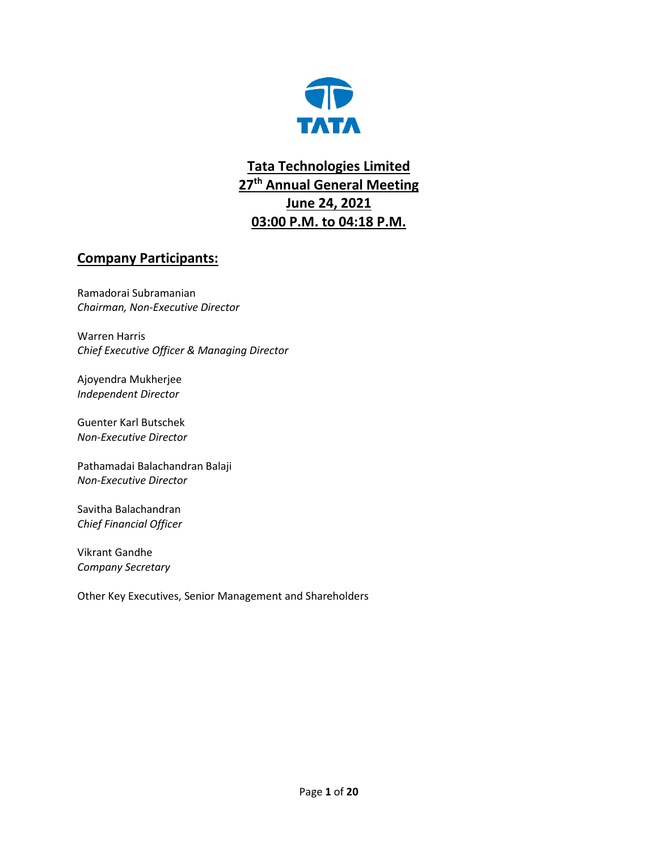

## **Tata Technologies Limited 27th Annual General Meeting June 24, 2021 03:00 P.M. to 04:18 P.M.**

## **Company Participants:**

Ramadorai Subramanian *Chairman, Non-Executive Director*

Warren Harris *Chief Executive Officer & Managing Director*

Ajoyendra Mukherjee *Independent Director*

Guenter Karl Butschek *Non-Executive Director*

Pathamadai Balachandran Balaji *Non-Executive Director*

Savitha Balachandran *Chief Financial Officer*

Vikrant Gandhe *Company Secretary*

Other Key Executives, Senior Management and Shareholders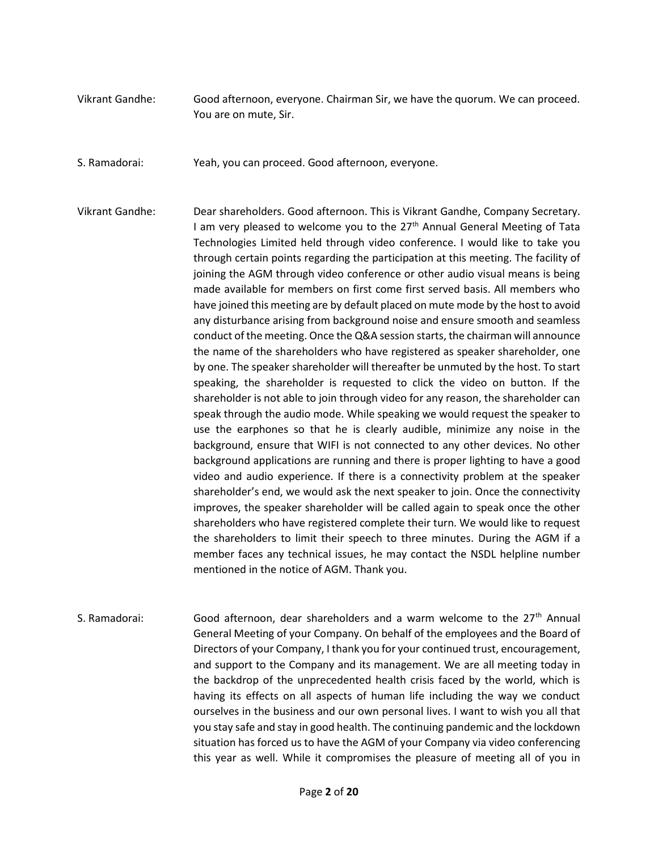- Vikrant Gandhe: Good afternoon, everyone. Chairman Sir, we have the quorum. We can proceed. You are on mute, Sir.
- S. Ramadorai: Yeah, you can proceed. Good afternoon, everyone.
- Vikrant Gandhe: Dear shareholders. Good afternoon. This is Vikrant Gandhe, Company Secretary. I am very pleased to welcome you to the  $27<sup>th</sup>$  Annual General Meeting of Tata Technologies Limited held through video conference. I would like to take you through certain points regarding the participation at this meeting. The facility of joining the AGM through video conference or other audio visual means is being made available for members on first come first served basis. All members who have joined this meeting are by default placed on mute mode by the host to avoid any disturbance arising from background noise and ensure smooth and seamless conduct of the meeting. Once the Q&A session starts, the chairman will announce the name of the shareholders who have registered as speaker shareholder, one by one. The speaker shareholder will thereafter be unmuted by the host. To start speaking, the shareholder is requested to click the video on button. If the shareholder is not able to join through video for any reason, the shareholder can speak through the audio mode. While speaking we would request the speaker to use the earphones so that he is clearly audible, minimize any noise in the background, ensure that WIFI is not connected to any other devices. No other background applications are running and there is proper lighting to have a good video and audio experience. If there is a connectivity problem at the speaker shareholder's end, we would ask the next speaker to join. Once the connectivity improves, the speaker shareholder will be called again to speak once the other shareholders who have registered complete their turn. We would like to request the shareholders to limit their speech to three minutes. During the AGM if a member faces any technical issues, he may contact the NSDL helpline number mentioned in the notice of AGM. Thank you.
- S. Ramadorai: Good afternoon, dear shareholders and a warm welcome to the  $27<sup>th</sup>$  Annual General Meeting of your Company. On behalf of the employees and the Board of Directors of your Company, I thank you for your continued trust, encouragement, and support to the Company and its management. We are all meeting today in the backdrop of the unprecedented health crisis faced by the world, which is having its effects on all aspects of human life including the way we conduct ourselves in the business and our own personal lives. I want to wish you all that you stay safe and stay in good health. The continuing pandemic and the lockdown situation has forced us to have the AGM of your Company via video conferencing this year as well. While it compromises the pleasure of meeting all of you in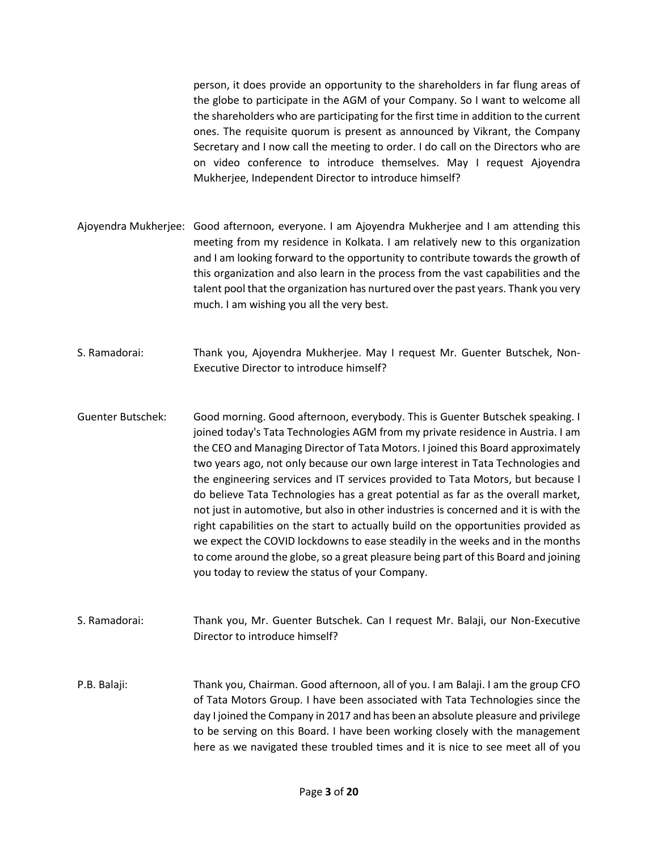person, it does provide an opportunity to the shareholders in far flung areas of the globe to participate in the AGM of your Company. So I want to welcome all the shareholders who are participating for the first time in addition to the current ones. The requisite quorum is present as announced by Vikrant, the Company Secretary and I now call the meeting to order. I do call on the Directors who are on video conference to introduce themselves. May I request Ajoyendra Mukherjee, Independent Director to introduce himself?

Ajoyendra Mukherjee: Good afternoon, everyone. I am Ajoyendra Mukherjee and I am attending this meeting from my residence in Kolkata. I am relatively new to this organization and I am looking forward to the opportunity to contribute towards the growth of this organization and also learn in the process from the vast capabilities and the talent pool that the organization has nurtured over the past years. Thank you very much. I am wishing you all the very best.

S. Ramadorai: Thank you, Ajoyendra Mukherjee. May I request Mr. Guenter Butschek, Non-Executive Director to introduce himself?

Guenter Butschek: Good morning. Good afternoon, everybody. This is Guenter Butschek speaking. I joined today's Tata Technologies AGM from my private residence in Austria. I am the CEO and Managing Director of Tata Motors. I joined this Board approximately two years ago, not only because our own large interest in Tata Technologies and the engineering services and IT services provided to Tata Motors, but because I do believe Tata Technologies has a great potential as far as the overall market, not just in automotive, but also in other industries is concerned and it is with the right capabilities on the start to actually build on the opportunities provided as we expect the COVID lockdowns to ease steadily in the weeks and in the months to come around the globe, so a great pleasure being part of this Board and joining you today to review the status of your Company.

S. Ramadorai: Thank you, Mr. Guenter Butschek. Can I request Mr. Balaji, our Non-Executive Director to introduce himself?

P.B. Balaji: Thank you, Chairman. Good afternoon, all of you. I am Balaji. I am the group CFO of Tata Motors Group. I have been associated with Tata Technologies since the day I joined the Company in 2017 and has been an absolute pleasure and privilege to be serving on this Board. I have been working closely with the management here as we navigated these troubled times and it is nice to see meet all of you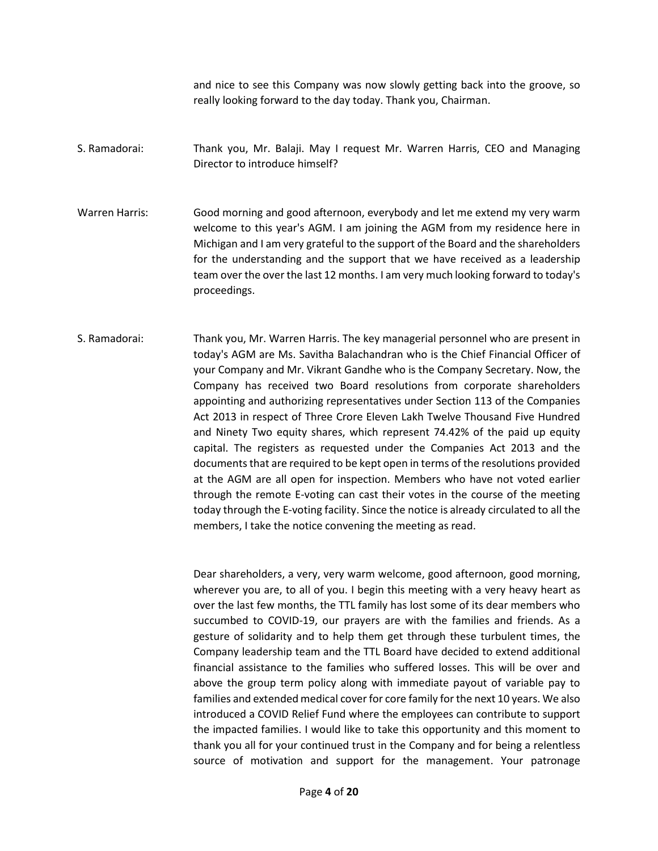and nice to see this Company was now slowly getting back into the groove, so really looking forward to the day today. Thank you, Chairman.

- S. Ramadorai: Thank you, Mr. Balaji. May I request Mr. Warren Harris, CEO and Managing Director to introduce himself?
- Warren Harris: Good morning and good afternoon, everybody and let me extend my very warm welcome to this year's AGM. I am joining the AGM from my residence here in Michigan and I am very grateful to the support of the Board and the shareholders for the understanding and the support that we have received as a leadership team over the over the last 12 months. I am very much looking forward to today's proceedings.
- S. Ramadorai: Thank you, Mr. Warren Harris. The key managerial personnel who are present in today's AGM are Ms. Savitha Balachandran who is the Chief Financial Officer of your Company and Mr. Vikrant Gandhe who is the Company Secretary. Now, the Company has received two Board resolutions from corporate shareholders appointing and authorizing representatives under Section 113 of the Companies Act 2013 in respect of Three Crore Eleven Lakh Twelve Thousand Five Hundred and Ninety Two equity shares, which represent 74.42% of the paid up equity capital. The registers as requested under the Companies Act 2013 and the documents that are required to be kept open in terms of the resolutions provided at the AGM are all open for inspection. Members who have not voted earlier through the remote E-voting can cast their votes in the course of the meeting today through the E-voting facility. Since the notice is already circulated to all the members, I take the notice convening the meeting as read.

Dear shareholders, a very, very warm welcome, good afternoon, good morning, wherever you are, to all of you. I begin this meeting with a very heavy heart as over the last few months, the TTL family has lost some of its dear members who succumbed to COVID-19, our prayers are with the families and friends. As a gesture of solidarity and to help them get through these turbulent times, the Company leadership team and the TTL Board have decided to extend additional financial assistance to the families who suffered losses. This will be over and above the group term policy along with immediate payout of variable pay to families and extended medical cover for core family for the next 10 years. We also introduced a COVID Relief Fund where the employees can contribute to support the impacted families. I would like to take this opportunity and this moment to thank you all for your continued trust in the Company and for being a relentless source of motivation and support for the management. Your patronage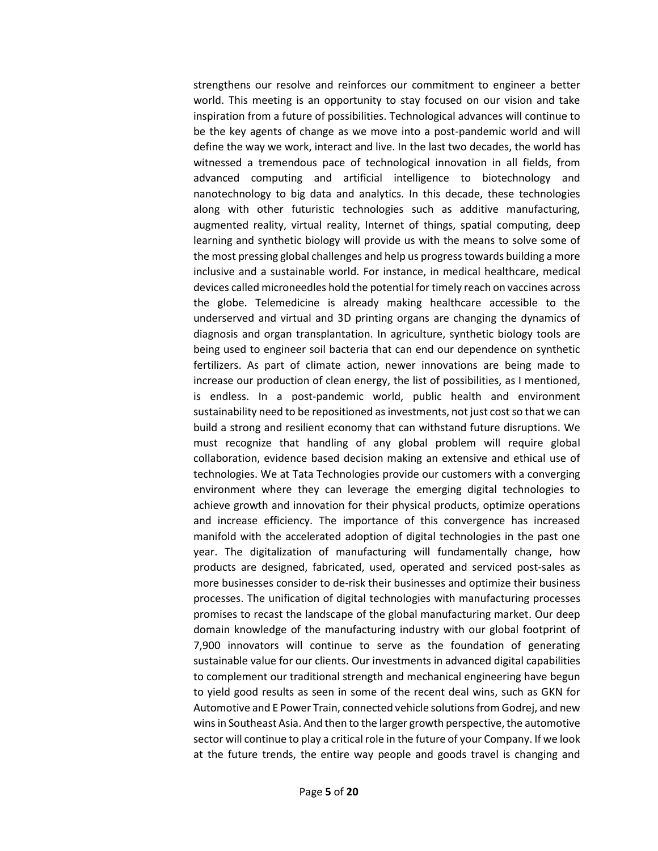strengthens our resolve and reinforces our commitment to engineer a better world. This meeting is an opportunity to stay focused on our vision and take inspiration from a future of possibilities. Technological advances will continue to be the key agents of change as we move into a post-pandemic world and will define the way we work, interact and live. In the last two decades, the world has witnessed a tremendous pace of technological innovation in all fields, from advanced computing and artificial intelligence to biotechnology and nanotechnology to big data and analytics. In this decade, these technologies along with other futuristic technologies such as additive manufacturing, augmented reality, virtual reality, Internet of things, spatial computing, deep learning and synthetic biology will provide us with the means to solve some of the most pressing global challenges and help us progress towards building a more inclusive and a sustainable world. For instance, in medical healthcare, medical devices called microneedles hold the potential for timely reach on vaccines across the globe. Telemedicine is already making healthcare accessible to the underserved and virtual and 3D printing organs are changing the dynamics of diagnosis and organ transplantation. In agriculture, synthetic biology tools are being used to engineer soil bacteria that can end our dependence on synthetic fertilizers. As part of climate action, newer innovations are being made to increase our production of clean energy, the list of possibilities, as I mentioned, is endless. In a post-pandemic world, public health and environment sustainability need to be repositioned as investments, not just cost so that we can build a strong and resilient economy that can withstand future disruptions. We must recognize that handling of any global problem will require global collaboration, evidence based decision making an extensive and ethical use of technologies. We at Tata Technologies provide our customers with a converging environment where they can leverage the emerging digital technologies to achieve growth and innovation for their physical products, optimize operations and increase efficiency. The importance of this convergence has increased manifold with the accelerated adoption of digital technologies in the past one year. The digitalization of manufacturing will fundamentally change, how products are designed, fabricated, used, operated and serviced post-sales as more businesses consider to de-risk their businesses and optimize their business processes. The unification of digital technologies with manufacturing processes promises to recast the landscape of the global manufacturing market. Our deep domain knowledge of the manufacturing industry with our global footprint of 7,900 innovators will continue to serve as the foundation of generating sustainable value for our clients. Our investments in advanced digital capabilities to complement our traditional strength and mechanical engineering have begun to yield good results as seen in some of the recent deal wins, such as GKN for Automotive and E Power Train, connected vehicle solutions from Godrej, and new wins in Southeast Asia. And then to the larger growth perspective, the automotive sector will continue to play a critical role in the future of your Company. If we look at the future trends, the entire way people and goods travel is changing and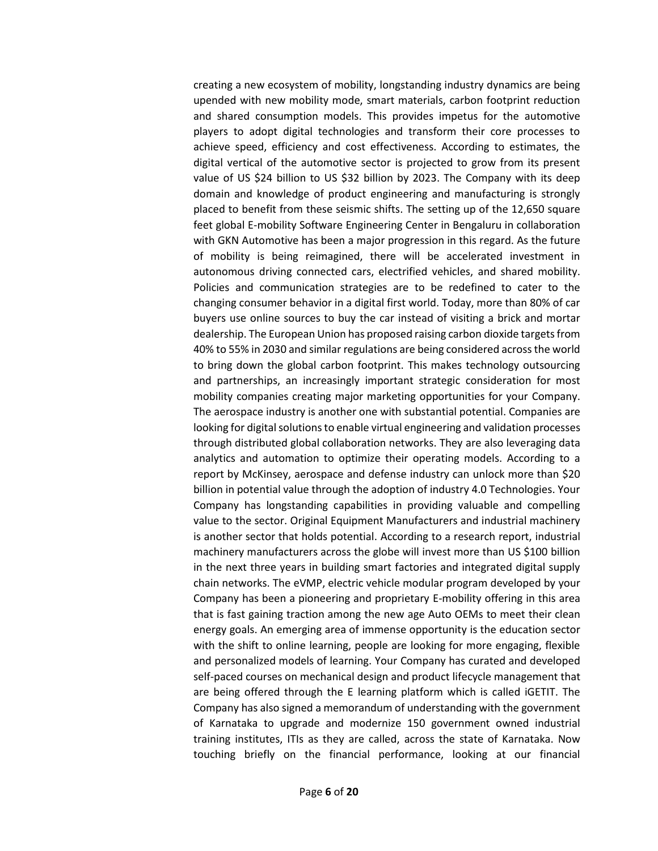creating a new ecosystem of mobility, longstanding industry dynamics are being upended with new mobility mode, smart materials, carbon footprint reduction and shared consumption models. This provides impetus for the automotive players to adopt digital technologies and transform their core processes to achieve speed, efficiency and cost effectiveness. According to estimates, the digital vertical of the automotive sector is projected to grow from its present value of US \$24 billion to US \$32 billion by 2023. The Company with its deep domain and knowledge of product engineering and manufacturing is strongly placed to benefit from these seismic shifts. The setting up of the 12,650 square feet global E-mobility Software Engineering Center in Bengaluru in collaboration with GKN Automotive has been a major progression in this regard. As the future of mobility is being reimagined, there will be accelerated investment in autonomous driving connected cars, electrified vehicles, and shared mobility. Policies and communication strategies are to be redefined to cater to the changing consumer behavior in a digital first world. Today, more than 80% of car buyers use online sources to buy the car instead of visiting a brick and mortar dealership. The European Union has proposed raising carbon dioxide targets from 40% to 55% in 2030 and similar regulations are being considered across the world to bring down the global carbon footprint. This makes technology outsourcing and partnerships, an increasingly important strategic consideration for most mobility companies creating major marketing opportunities for your Company. The aerospace industry is another one with substantial potential. Companies are looking for digital solutions to enable virtual engineering and validation processes through distributed global collaboration networks. They are also leveraging data analytics and automation to optimize their operating models. According to a report by McKinsey, aerospace and defense industry can unlock more than \$20 billion in potential value through the adoption of industry 4.0 Technologies. Your Company has longstanding capabilities in providing valuable and compelling value to the sector. Original Equipment Manufacturers and industrial machinery is another sector that holds potential. According to a research report, industrial machinery manufacturers across the globe will invest more than US \$100 billion in the next three years in building smart factories and integrated digital supply chain networks. The eVMP, electric vehicle modular program developed by your Company has been a pioneering and proprietary E-mobility offering in this area that is fast gaining traction among the new age Auto OEMs to meet their clean energy goals. An emerging area of immense opportunity is the education sector with the shift to online learning, people are looking for more engaging, flexible and personalized models of learning. Your Company has curated and developed self-paced courses on mechanical design and product lifecycle management that are being offered through the E learning platform which is called iGETIT. The Company has also signed a memorandum of understanding with the government of Karnataka to upgrade and modernize 150 government owned industrial training institutes, ITIs as they are called, across the state of Karnataka. Now touching briefly on the financial performance, looking at our financial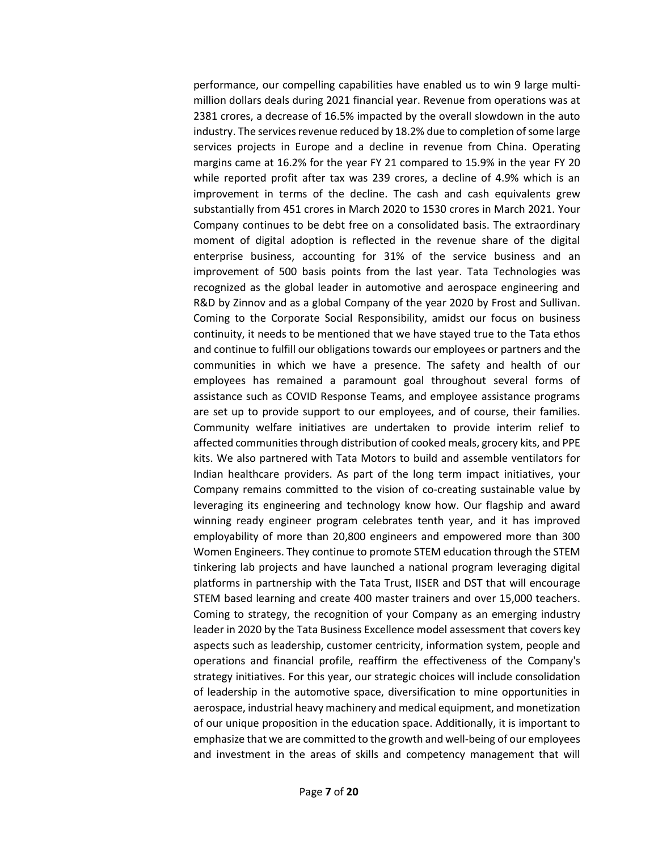performance, our compelling capabilities have enabled us to win 9 large multimillion dollars deals during 2021 financial year. Revenue from operations was at 2381 crores, a decrease of 16.5% impacted by the overall slowdown in the auto industry. The services revenue reduced by 18.2% due to completion of some large services projects in Europe and a decline in revenue from China. Operating margins came at 16.2% for the year FY 21 compared to 15.9% in the year FY 20 while reported profit after tax was 239 crores, a decline of 4.9% which is an improvement in terms of the decline. The cash and cash equivalents grew substantially from 451 crores in March 2020 to 1530 crores in March 2021. Your Company continues to be debt free on a consolidated basis. The extraordinary moment of digital adoption is reflected in the revenue share of the digital enterprise business, accounting for 31% of the service business and an improvement of 500 basis points from the last year. Tata Technologies was recognized as the global leader in automotive and aerospace engineering and R&D by Zinnov and as a global Company of the year 2020 by Frost and Sullivan. Coming to the Corporate Social Responsibility, amidst our focus on business continuity, it needs to be mentioned that we have stayed true to the Tata ethos and continue to fulfill our obligations towards our employees or partners and the communities in which we have a presence. The safety and health of our employees has remained a paramount goal throughout several forms of assistance such as COVID Response Teams, and employee assistance programs are set up to provide support to our employees, and of course, their families. Community welfare initiatives are undertaken to provide interim relief to affected communities through distribution of cooked meals, grocery kits, and PPE kits. We also partnered with Tata Motors to build and assemble ventilators for Indian healthcare providers. As part of the long term impact initiatives, your Company remains committed to the vision of co-creating sustainable value by leveraging its engineering and technology know how. Our flagship and award winning ready engineer program celebrates tenth year, and it has improved employability of more than 20,800 engineers and empowered more than 300 Women Engineers. They continue to promote STEM education through the STEM tinkering lab projects and have launched a national program leveraging digital platforms in partnership with the Tata Trust, IISER and DST that will encourage STEM based learning and create 400 master trainers and over 15,000 teachers. Coming to strategy, the recognition of your Company as an emerging industry leader in 2020 by the Tata Business Excellence model assessment that covers key aspects such as leadership, customer centricity, information system, people and operations and financial profile, reaffirm the effectiveness of the Company's strategy initiatives. For this year, our strategic choices will include consolidation of leadership in the automotive space, diversification to mine opportunities in aerospace, industrial heavy machinery and medical equipment, and monetization of our unique proposition in the education space. Additionally, it is important to emphasize that we are committed to the growth and well-being of our employees and investment in the areas of skills and competency management that will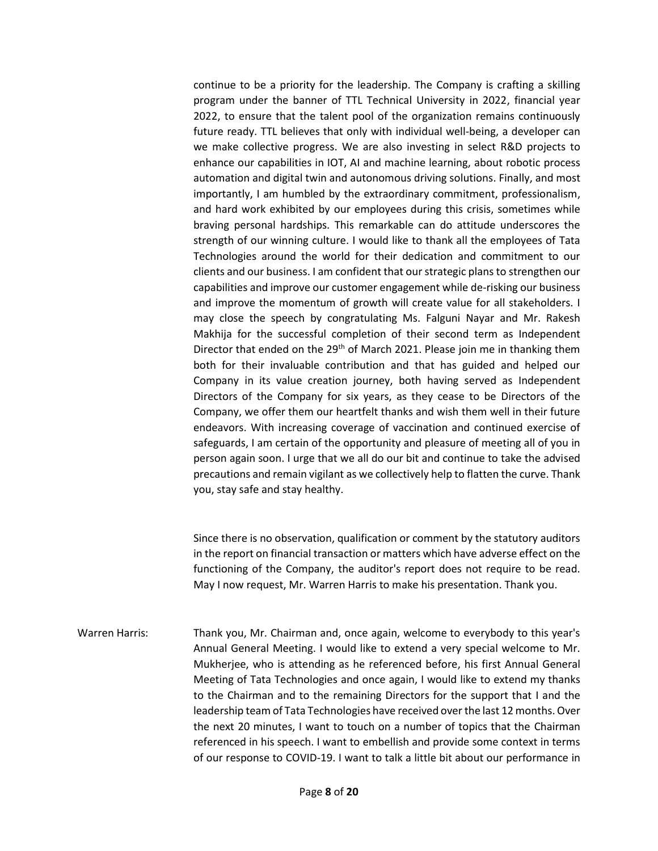continue to be a priority for the leadership. The Company is crafting a skilling program under the banner of TTL Technical University in 2022, financial year 2022, to ensure that the talent pool of the organization remains continuously future ready. TTL believes that only with individual well-being, a developer can we make collective progress. We are also investing in select R&D projects to enhance our capabilities in IOT, AI and machine learning, about robotic process automation and digital twin and autonomous driving solutions. Finally, and most importantly, I am humbled by the extraordinary commitment, professionalism, and hard work exhibited by our employees during this crisis, sometimes while braving personal hardships. This remarkable can do attitude underscores the strength of our winning culture. I would like to thank all the employees of Tata Technologies around the world for their dedication and commitment to our clients and our business. I am confident that our strategic plans to strengthen our capabilities and improve our customer engagement while de-risking our business and improve the momentum of growth will create value for all stakeholders. I may close the speech by congratulating Ms. Falguni Nayar and Mr. Rakesh Makhija for the successful completion of their second term as Independent Director that ended on the 29<sup>th</sup> of March 2021. Please join me in thanking them both for their invaluable contribution and that has guided and helped our Company in its value creation journey, both having served as Independent Directors of the Company for six years, as they cease to be Directors of the Company, we offer them our heartfelt thanks and wish them well in their future endeavors. With increasing coverage of vaccination and continued exercise of safeguards, I am certain of the opportunity and pleasure of meeting all of you in person again soon. I urge that we all do our bit and continue to take the advised precautions and remain vigilant as we collectively help to flatten the curve. Thank you, stay safe and stay healthy.

Since there is no observation, qualification or comment by the statutory auditors in the report on financial transaction or matters which have adverse effect on the functioning of the Company, the auditor's report does not require to be read. May I now request, Mr. Warren Harris to make his presentation. Thank you.

Warren Harris: Thank you, Mr. Chairman and, once again, welcome to everybody to this year's Annual General Meeting. I would like to extend a very special welcome to Mr. Mukherjee, who is attending as he referenced before, his first Annual General Meeting of Tata Technologies and once again, I would like to extend my thanks to the Chairman and to the remaining Directors for the support that I and the leadership team of Tata Technologies have received over the last 12 months. Over the next 20 minutes, I want to touch on a number of topics that the Chairman referenced in his speech. I want to embellish and provide some context in terms of our response to COVID-19. I want to talk a little bit about our performance in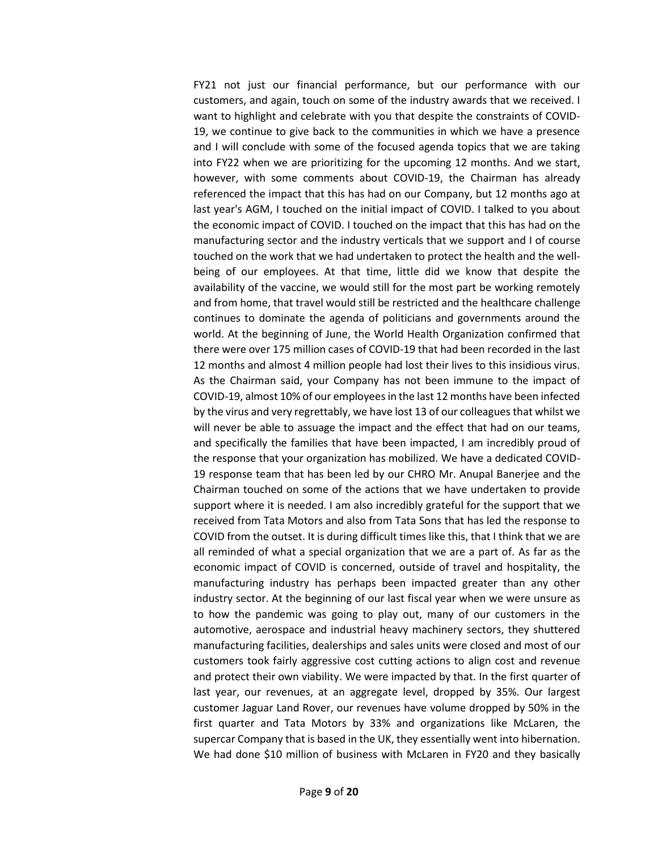FY21 not just our financial performance, but our performance with our customers, and again, touch on some of the industry awards that we received. I want to highlight and celebrate with you that despite the constraints of COVID-19, we continue to give back to the communities in which we have a presence and I will conclude with some of the focused agenda topics that we are taking into FY22 when we are prioritizing for the upcoming 12 months. And we start, however, with some comments about COVID-19, the Chairman has already referenced the impact that this has had on our Company, but 12 months ago at last year's AGM, I touched on the initial impact of COVID. I talked to you about the economic impact of COVID. I touched on the impact that this has had on the manufacturing sector and the industry verticals that we support and I of course touched on the work that we had undertaken to protect the health and the wellbeing of our employees. At that time, little did we know that despite the availability of the vaccine, we would still for the most part be working remotely and from home, that travel would still be restricted and the healthcare challenge continues to dominate the agenda of politicians and governments around the world. At the beginning of June, the World Health Organization confirmed that there were over 175 million cases of COVID-19 that had been recorded in the last 12 months and almost 4 million people had lost their lives to this insidious virus. As the Chairman said, your Company has not been immune to the impact of COVID-19, almost 10% of our employees in the last 12 months have been infected by the virus and very regrettably, we have lost 13 of our colleagues that whilst we will never be able to assuage the impact and the effect that had on our teams, and specifically the families that have been impacted, I am incredibly proud of the response that your organization has mobilized. We have a dedicated COVID-19 response team that has been led by our CHRO Mr. Anupal Banerjee and the Chairman touched on some of the actions that we have undertaken to provide support where it is needed. I am also incredibly grateful for the support that we received from Tata Motors and also from Tata Sons that has led the response to COVID from the outset. It is during difficult times like this, that I think that we are all reminded of what a special organization that we are a part of. As far as the economic impact of COVID is concerned, outside of travel and hospitality, the manufacturing industry has perhaps been impacted greater than any other industry sector. At the beginning of our last fiscal year when we were unsure as to how the pandemic was going to play out, many of our customers in the automotive, aerospace and industrial heavy machinery sectors, they shuttered manufacturing facilities, dealerships and sales units were closed and most of our customers took fairly aggressive cost cutting actions to align cost and revenue and protect their own viability. We were impacted by that. In the first quarter of last year, our revenues, at an aggregate level, dropped by 35%. Our largest customer Jaguar Land Rover, our revenues have volume dropped by 50% in the first quarter and Tata Motors by 33% and organizations like McLaren, the supercar Company that is based in the UK, they essentially went into hibernation. We had done \$10 million of business with McLaren in FY20 and they basically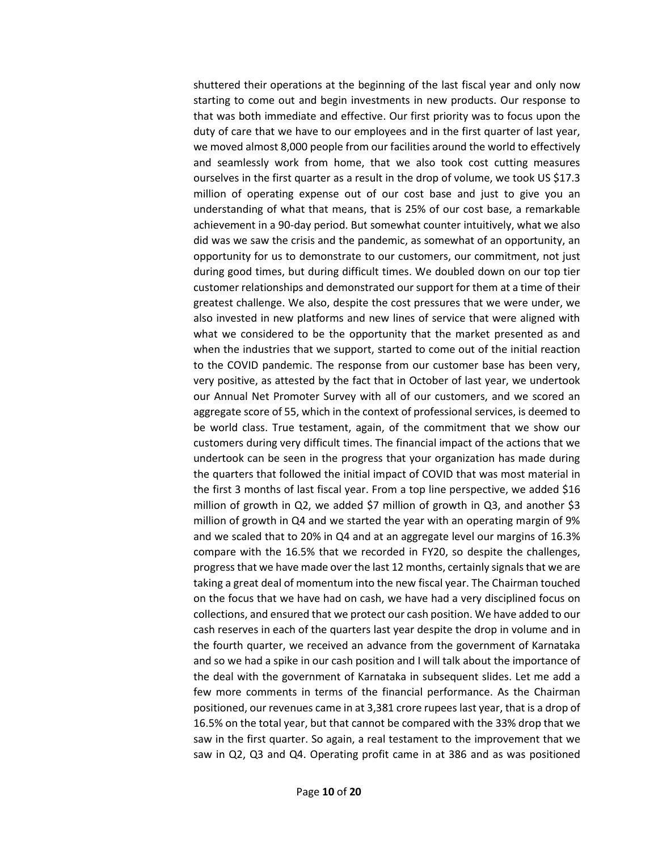shuttered their operations at the beginning of the last fiscal year and only now starting to come out and begin investments in new products. Our response to that was both immediate and effective. Our first priority was to focus upon the duty of care that we have to our employees and in the first quarter of last year, we moved almost 8,000 people from our facilities around the world to effectively and seamlessly work from home, that we also took cost cutting measures ourselves in the first quarter as a result in the drop of volume, we took US \$17.3 million of operating expense out of our cost base and just to give you an understanding of what that means, that is 25% of our cost base, a remarkable achievement in a 90-day period. But somewhat counter intuitively, what we also did was we saw the crisis and the pandemic, as somewhat of an opportunity, an opportunity for us to demonstrate to our customers, our commitment, not just during good times, but during difficult times. We doubled down on our top tier customer relationships and demonstrated our support for them at a time of their greatest challenge. We also, despite the cost pressures that we were under, we also invested in new platforms and new lines of service that were aligned with what we considered to be the opportunity that the market presented as and when the industries that we support, started to come out of the initial reaction to the COVID pandemic. The response from our customer base has been very, very positive, as attested by the fact that in October of last year, we undertook our Annual Net Promoter Survey with all of our customers, and we scored an aggregate score of 55, which in the context of professional services, is deemed to be world class. True testament, again, of the commitment that we show our customers during very difficult times. The financial impact of the actions that we undertook can be seen in the progress that your organization has made during the quarters that followed the initial impact of COVID that was most material in the first 3 months of last fiscal year. From a top line perspective, we added \$16 million of growth in Q2, we added \$7 million of growth in Q3, and another \$3 million of growth in Q4 and we started the year with an operating margin of 9% and we scaled that to 20% in Q4 and at an aggregate level our margins of 16.3% compare with the 16.5% that we recorded in FY20, so despite the challenges, progress that we have made over the last 12 months, certainly signals that we are taking a great deal of momentum into the new fiscal year. The Chairman touched on the focus that we have had on cash, we have had a very disciplined focus on collections, and ensured that we protect our cash position. We have added to our cash reserves in each of the quarters last year despite the drop in volume and in the fourth quarter, we received an advance from the government of Karnataka and so we had a spike in our cash position and I will talk about the importance of the deal with the government of Karnataka in subsequent slides. Let me add a few more comments in terms of the financial performance. As the Chairman positioned, our revenues came in at 3,381 crore rupees last year, that is a drop of 16.5% on the total year, but that cannot be compared with the 33% drop that we saw in the first quarter. So again, a real testament to the improvement that we saw in Q2, Q3 and Q4. Operating profit came in at 386 and as was positioned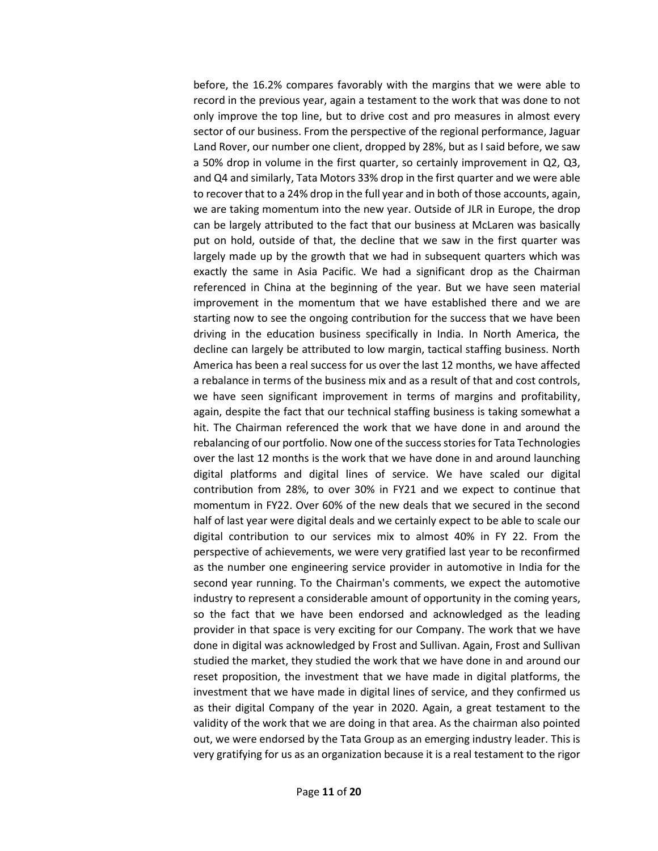before, the 16.2% compares favorably with the margins that we were able to record in the previous year, again a testament to the work that was done to not only improve the top line, but to drive cost and pro measures in almost every sector of our business. From the perspective of the regional performance, Jaguar Land Rover, our number one client, dropped by 28%, but as I said before, we saw a 50% drop in volume in the first quarter, so certainly improvement in Q2, Q3, and Q4 and similarly, Tata Motors 33% drop in the first quarter and we were able to recover that to a 24% drop in the full year and in both of those accounts, again, we are taking momentum into the new year. Outside of JLR in Europe, the drop can be largely attributed to the fact that our business at McLaren was basically put on hold, outside of that, the decline that we saw in the first quarter was largely made up by the growth that we had in subsequent quarters which was exactly the same in Asia Pacific. We had a significant drop as the Chairman referenced in China at the beginning of the year. But we have seen material improvement in the momentum that we have established there and we are starting now to see the ongoing contribution for the success that we have been driving in the education business specifically in India. In North America, the decline can largely be attributed to low margin, tactical staffing business. North America has been a real success for us over the last 12 months, we have affected a rebalance in terms of the business mix and as a result of that and cost controls, we have seen significant improvement in terms of margins and profitability, again, despite the fact that our technical staffing business is taking somewhat a hit. The Chairman referenced the work that we have done in and around the rebalancing of our portfolio. Now one of the success stories for Tata Technologies over the last 12 months is the work that we have done in and around launching digital platforms and digital lines of service. We have scaled our digital contribution from 28%, to over 30% in FY21 and we expect to continue that momentum in FY22. Over 60% of the new deals that we secured in the second half of last year were digital deals and we certainly expect to be able to scale our digital contribution to our services mix to almost 40% in FY 22. From the perspective of achievements, we were very gratified last year to be reconfirmed as the number one engineering service provider in automotive in India for the second year running. To the Chairman's comments, we expect the automotive industry to represent a considerable amount of opportunity in the coming years, so the fact that we have been endorsed and acknowledged as the leading provider in that space is very exciting for our Company. The work that we have done in digital was acknowledged by Frost and Sullivan. Again, Frost and Sullivan studied the market, they studied the work that we have done in and around our reset proposition, the investment that we have made in digital platforms, the investment that we have made in digital lines of service, and they confirmed us as their digital Company of the year in 2020. Again, a great testament to the validity of the work that we are doing in that area. As the chairman also pointed out, we were endorsed by the Tata Group as an emerging industry leader. This is very gratifying for us as an organization because it is a real testament to the rigor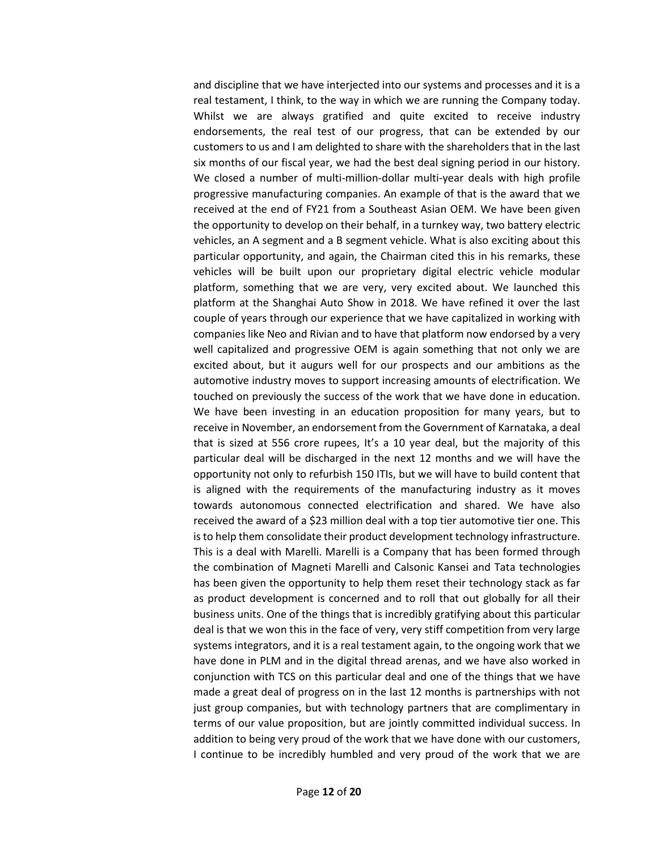and discipline that we have interjected into our systems and processes and it is a real testament, I think, to the way in which we are running the Company today. Whilst we are always gratified and quite excited to receive industry endorsements, the real test of our progress, that can be extended by our customers to us and I am delighted to share with the shareholders that in the last six months of our fiscal year, we had the best deal signing period in our history. We closed a number of multi-million-dollar multi-year deals with high profile progressive manufacturing companies. An example of that is the award that we received at the end of FY21 from a Southeast Asian OEM. We have been given the opportunity to develop on their behalf, in a turnkey way, two battery electric vehicles, an A segment and a B segment vehicle. What is also exciting about this particular opportunity, and again, the Chairman cited this in his remarks, these vehicles will be built upon our proprietary digital electric vehicle modular platform, something that we are very, very excited about. We launched this platform at the Shanghai Auto Show in 2018. We have refined it over the last couple of years through our experience that we have capitalized in working with companies like Neo and Rivian and to have that platform now endorsed by a very well capitalized and progressive OEM is again something that not only we are excited about, but it augurs well for our prospects and our ambitions as the automotive industry moves to support increasing amounts of electrification. We touched on previously the success of the work that we have done in education. We have been investing in an education proposition for many years, but to receive in November, an endorsement from the Government of Karnataka, a deal that is sized at 556 crore rupees, It's a 10 year deal, but the majority of this particular deal will be discharged in the next 12 months and we will have the opportunity not only to refurbish 150 ITIs, but we will have to build content that is aligned with the requirements of the manufacturing industry as it moves towards autonomous connected electrification and shared. We have also received the award of a \$23 million deal with a top tier automotive tier one. This is to help them consolidate their product development technology infrastructure. This is a deal with Marelli. Marelli is a Company that has been formed through the combination of Magneti Marelli and Calsonic Kansei and Tata technologies has been given the opportunity to help them reset their technology stack as far as product development is concerned and to roll that out globally for all their business units. One of the things that is incredibly gratifying about this particular deal is that we won this in the face of very, very stiff competition from very large systems integrators, and it is a real testament again, to the ongoing work that we have done in PLM and in the digital thread arenas, and we have also worked in conjunction with TCS on this particular deal and one of the things that we have made a great deal of progress on in the last 12 months is partnerships with not just group companies, but with technology partners that are complimentary in terms of our value proposition, but are jointly committed individual success. In addition to being very proud of the work that we have done with our customers, I continue to be incredibly humbled and very proud of the work that we are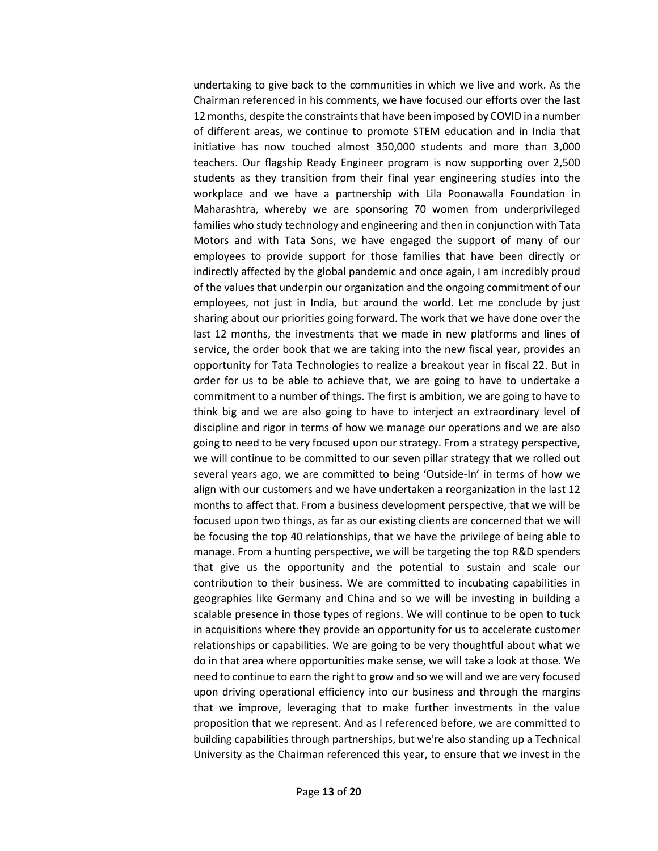undertaking to give back to the communities in which we live and work. As the Chairman referenced in his comments, we have focused our efforts over the last 12 months, despite the constraints that have been imposed by COVID in a number of different areas, we continue to promote STEM education and in India that initiative has now touched almost 350,000 students and more than 3,000 teachers. Our flagship Ready Engineer program is now supporting over 2,500 students as they transition from their final year engineering studies into the workplace and we have a partnership with Lila Poonawalla Foundation in Maharashtra, whereby we are sponsoring 70 women from underprivileged families who study technology and engineering and then in conjunction with Tata Motors and with Tata Sons, we have engaged the support of many of our employees to provide support for those families that have been directly or indirectly affected by the global pandemic and once again, I am incredibly proud of the values that underpin our organization and the ongoing commitment of our employees, not just in India, but around the world. Let me conclude by just sharing about our priorities going forward. The work that we have done over the last 12 months, the investments that we made in new platforms and lines of service, the order book that we are taking into the new fiscal year, provides an opportunity for Tata Technologies to realize a breakout year in fiscal 22. But in order for us to be able to achieve that, we are going to have to undertake a commitment to a number of things. The first is ambition, we are going to have to think big and we are also going to have to interject an extraordinary level of discipline and rigor in terms of how we manage our operations and we are also going to need to be very focused upon our strategy. From a strategy perspective, we will continue to be committed to our seven pillar strategy that we rolled out several years ago, we are committed to being 'Outside-In' in terms of how we align with our customers and we have undertaken a reorganization in the last 12 months to affect that. From a business development perspective, that we will be focused upon two things, as far as our existing clients are concerned that we will be focusing the top 40 relationships, that we have the privilege of being able to manage. From a hunting perspective, we will be targeting the top R&D spenders that give us the opportunity and the potential to sustain and scale our contribution to their business. We are committed to incubating capabilities in geographies like Germany and China and so we will be investing in building a scalable presence in those types of regions. We will continue to be open to tuck in acquisitions where they provide an opportunity for us to accelerate customer relationships or capabilities. We are going to be very thoughtful about what we do in that area where opportunities make sense, we will take a look at those. We need to continue to earn the right to grow and so we will and we are very focused upon driving operational efficiency into our business and through the margins that we improve, leveraging that to make further investments in the value proposition that we represent. And as I referenced before, we are committed to building capabilities through partnerships, but we're also standing up a Technical University as the Chairman referenced this year, to ensure that we invest in the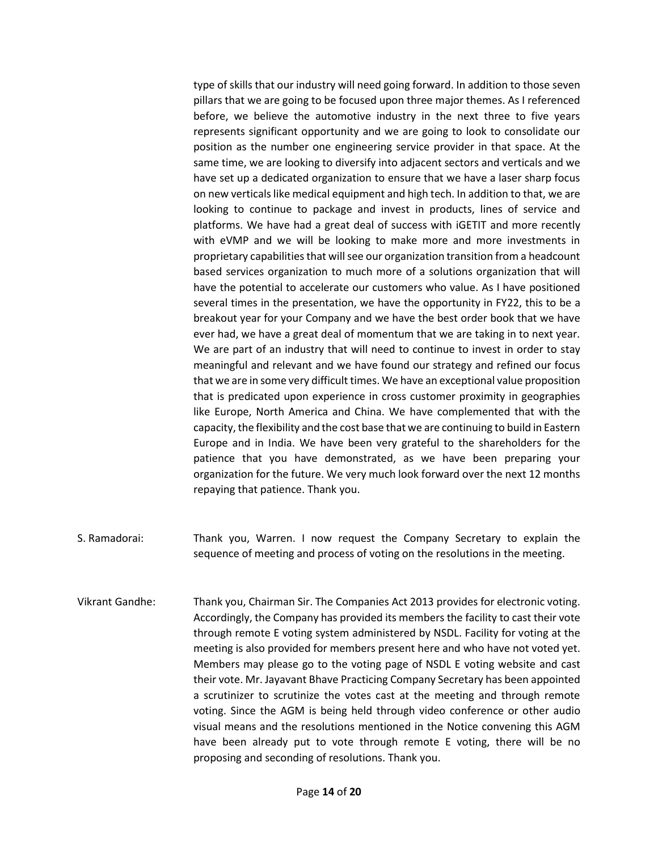type of skills that our industry will need going forward. In addition to those seven pillars that we are going to be focused upon three major themes. As I referenced before, we believe the automotive industry in the next three to five years represents significant opportunity and we are going to look to consolidate our position as the number one engineering service provider in that space. At the same time, we are looking to diversify into adjacent sectors and verticals and we have set up a dedicated organization to ensure that we have a laser sharp focus on new verticals like medical equipment and high tech. In addition to that, we are looking to continue to package and invest in products, lines of service and platforms. We have had a great deal of success with iGETIT and more recently with eVMP and we will be looking to make more and more investments in proprietary capabilities that will see our organization transition from a headcount based services organization to much more of a solutions organization that will have the potential to accelerate our customers who value. As I have positioned several times in the presentation, we have the opportunity in FY22, this to be a breakout year for your Company and we have the best order book that we have ever had, we have a great deal of momentum that we are taking in to next year. We are part of an industry that will need to continue to invest in order to stay meaningful and relevant and we have found our strategy and refined our focus that we are in some very difficult times. We have an exceptional value proposition that is predicated upon experience in cross customer proximity in geographies like Europe, North America and China. We have complemented that with the capacity, the flexibility and the cost base that we are continuing to build in Eastern Europe and in India. We have been very grateful to the shareholders for the patience that you have demonstrated, as we have been preparing your organization for the future. We very much look forward over the next 12 months repaying that patience. Thank you.

- S. Ramadorai: Thank you, Warren. I now request the Company Secretary to explain the sequence of meeting and process of voting on the resolutions in the meeting.
- Vikrant Gandhe: Thank you, Chairman Sir. The Companies Act 2013 provides for electronic voting. Accordingly, the Company has provided its members the facility to cast their vote through remote E voting system administered by NSDL. Facility for voting at the meeting is also provided for members present here and who have not voted yet. Members may please go to the voting page of NSDL E voting website and cast their vote. Mr. Jayavant Bhave Practicing Company Secretary has been appointed a scrutinizer to scrutinize the votes cast at the meeting and through remote voting. Since the AGM is being held through video conference or other audio visual means and the resolutions mentioned in the Notice convening this AGM have been already put to vote through remote E voting, there will be no proposing and seconding of resolutions. Thank you.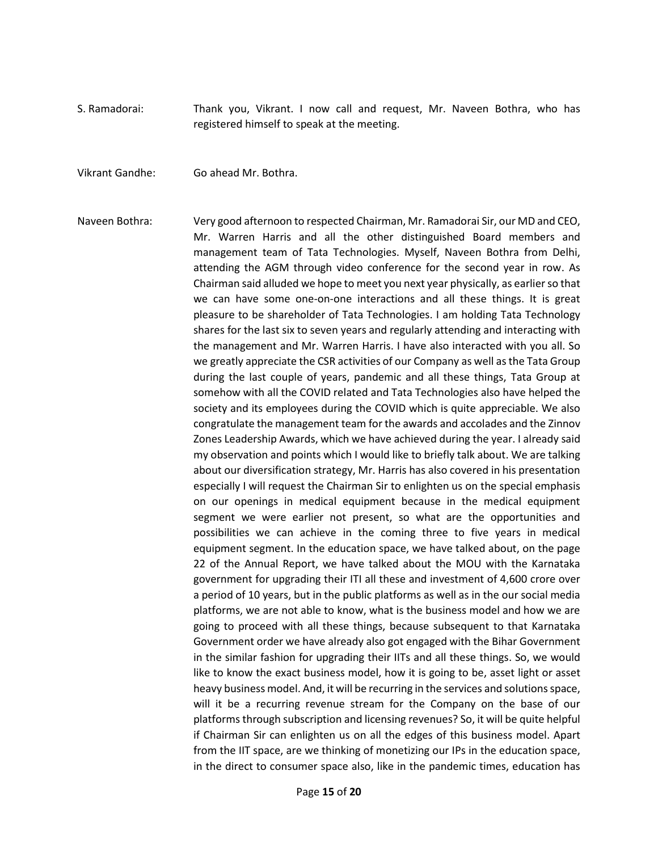- S. Ramadorai: Thank you, Vikrant. I now call and request, Mr. Naveen Bothra, who has registered himself to speak at the meeting.
- Vikrant Gandhe: Go ahead Mr. Bothra.
- Naveen Bothra: Very good afternoon to respected Chairman, Mr. Ramadorai Sir, our MD and CEO, Mr. Warren Harris and all the other distinguished Board members and management team of Tata Technologies. Myself, Naveen Bothra from Delhi, attending the AGM through video conference for the second year in row. As Chairman said alluded we hope to meet you next year physically, as earlier so that we can have some one-on-one interactions and all these things. It is great pleasure to be shareholder of Tata Technologies. I am holding Tata Technology shares for the last six to seven years and regularly attending and interacting with the management and Mr. Warren Harris. I have also interacted with you all. So we greatly appreciate the CSR activities of our Company as well as the Tata Group during the last couple of years, pandemic and all these things, Tata Group at somehow with all the COVID related and Tata Technologies also have helped the society and its employees during the COVID which is quite appreciable. We also congratulate the management team for the awards and accolades and the Zinnov Zones Leadership Awards, which we have achieved during the year. I already said my observation and points which I would like to briefly talk about. We are talking about our diversification strategy, Mr. Harris has also covered in his presentation especially I will request the Chairman Sir to enlighten us on the special emphasis on our openings in medical equipment because in the medical equipment segment we were earlier not present, so what are the opportunities and possibilities we can achieve in the coming three to five years in medical equipment segment. In the education space, we have talked about, on the page 22 of the Annual Report, we have talked about the MOU with the Karnataka government for upgrading their ITI all these and investment of 4,600 crore over a period of 10 years, but in the public platforms as well as in the our social media platforms, we are not able to know, what is the business model and how we are going to proceed with all these things, because subsequent to that Karnataka Government order we have already also got engaged with the Bihar Government in the similar fashion for upgrading their IITs and all these things. So, we would like to know the exact business model, how it is going to be, asset light or asset heavy business model. And, it will be recurring in the services and solutions space, will it be a recurring revenue stream for the Company on the base of our platforms through subscription and licensing revenues? So, it will be quite helpful if Chairman Sir can enlighten us on all the edges of this business model. Apart from the IIT space, are we thinking of monetizing our IPs in the education space, in the direct to consumer space also, like in the pandemic times, education has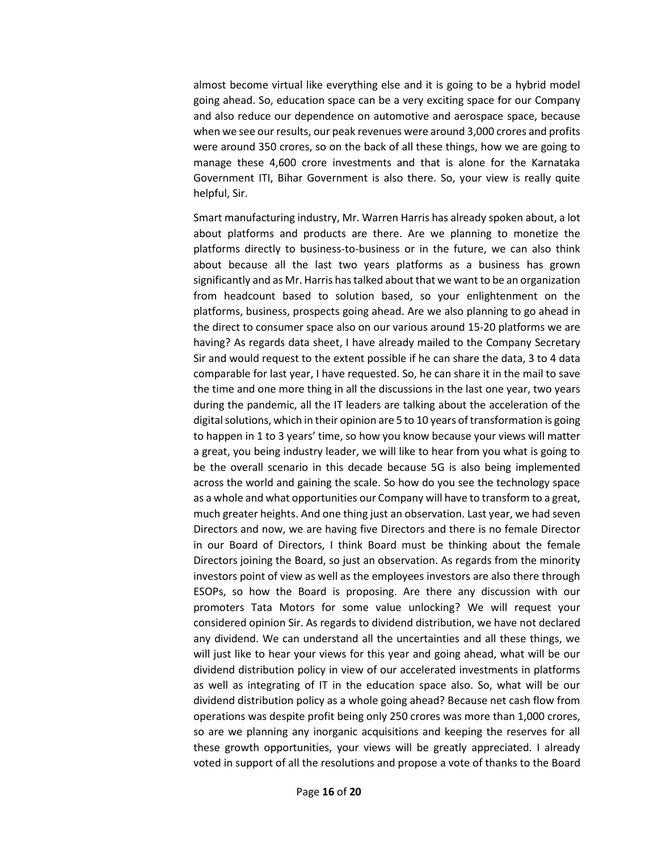almost become virtual like everything else and it is going to be a hybrid model going ahead. So, education space can be a very exciting space for our Company and also reduce our dependence on automotive and aerospace space, because when we see our results, our peak revenues were around 3,000 crores and profits were around 350 crores, so on the back of all these things, how we are going to manage these 4,600 crore investments and that is alone for the Karnataka Government ITI, Bihar Government is also there. So, your view is really quite helpful, Sir.

Smart manufacturing industry, Mr. Warren Harris has already spoken about, a lot about platforms and products are there. Are we planning to monetize the platforms directly to business-to-business or in the future, we can also think about because all the last two years platforms as a business has grown significantly and as Mr. Harris hastalked aboutthat we want to be an organization from headcount based to solution based, so your enlightenment on the platforms, business, prospects going ahead. Are we also planning to go ahead in the direct to consumer space also on our various around 15-20 platforms we are having? As regards data sheet, I have already mailed to the Company Secretary Sir and would request to the extent possible if he can share the data, 3 to 4 data comparable for last year, I have requested. So, he can share it in the mail to save the time and one more thing in all the discussions in the last one year, two years during the pandemic, all the IT leaders are talking about the acceleration of the digital solutions, which in their opinion are 5 to 10 years of transformation is going to happen in 1 to 3 years' time, so how you know because your views will matter a great, you being industry leader, we will like to hear from you what is going to be the overall scenario in this decade because 5G is also being implemented across the world and gaining the scale. So how do you see the technology space as a whole and what opportunities our Company will have to transform to a great, much greater heights. And one thing just an observation. Last year, we had seven Directors and now, we are having five Directors and there is no female Director in our Board of Directors, I think Board must be thinking about the female Directors joining the Board, so just an observation. As regards from the minority investors point of view as well as the employees investors are also there through ESOPs, so how the Board is proposing. Are there any discussion with our promoters Tata Motors for some value unlocking? We will request your considered opinion Sir. As regards to dividend distribution, we have not declared any dividend. We can understand all the uncertainties and all these things, we will just like to hear your views for this year and going ahead, what will be our dividend distribution policy in view of our accelerated investments in platforms as well as integrating of IT in the education space also. So, what will be our dividend distribution policy as a whole going ahead? Because net cash flow from operations was despite profit being only 250 crores was more than 1,000 crores, so are we planning any inorganic acquisitions and keeping the reserves for all these growth opportunities, your views will be greatly appreciated. I already voted in support of all the resolutions and propose a vote of thanks to the Board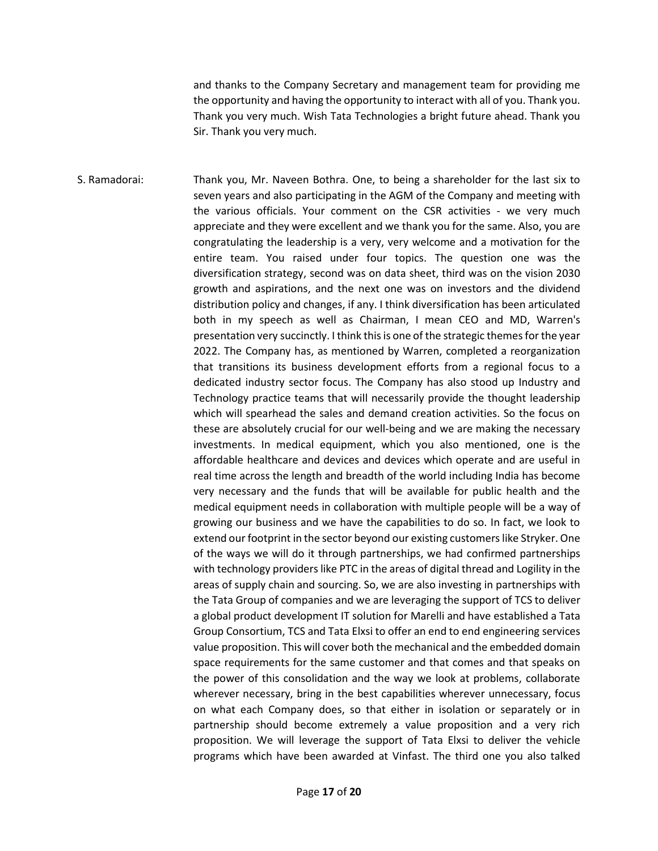and thanks to the Company Secretary and management team for providing me the opportunity and having the opportunity to interact with all of you. Thank you. Thank you very much. Wish Tata Technologies a bright future ahead. Thank you Sir. Thank you very much.

S. Ramadorai: Thank you, Mr. Naveen Bothra. One, to being a shareholder for the last six to seven years and also participating in the AGM of the Company and meeting with the various officials. Your comment on the CSR activities - we very much appreciate and they were excellent and we thank you for the same. Also, you are congratulating the leadership is a very, very welcome and a motivation for the entire team. You raised under four topics. The question one was the diversification strategy, second was on data sheet, third was on the vision 2030 growth and aspirations, and the next one was on investors and the dividend distribution policy and changes, if any. I think diversification has been articulated both in my speech as well as Chairman, I mean CEO and MD, Warren's presentation very succinctly. I think this is one of the strategic themes for the year 2022. The Company has, as mentioned by Warren, completed a reorganization that transitions its business development efforts from a regional focus to a dedicated industry sector focus. The Company has also stood up Industry and Technology practice teams that will necessarily provide the thought leadership which will spearhead the sales and demand creation activities. So the focus on these are absolutely crucial for our well-being and we are making the necessary investments. In medical equipment, which you also mentioned, one is the affordable healthcare and devices and devices which operate and are useful in real time across the length and breadth of the world including India has become very necessary and the funds that will be available for public health and the medical equipment needs in collaboration with multiple people will be a way of growing our business and we have the capabilities to do so. In fact, we look to extend our footprint in the sector beyond our existing customers like Stryker. One of the ways we will do it through partnerships, we had confirmed partnerships with technology providers like PTC in the areas of digital thread and Logility in the areas of supply chain and sourcing. So, we are also investing in partnerships with the Tata Group of companies and we are leveraging the support of TCS to deliver a global product development IT solution for Marelli and have established a Tata Group Consortium, TCS and Tata Elxsi to offer an end to end engineering services value proposition. This will cover both the mechanical and the embedded domain space requirements for the same customer and that comes and that speaks on the power of this consolidation and the way we look at problems, collaborate wherever necessary, bring in the best capabilities wherever unnecessary, focus on what each Company does, so that either in isolation or separately or in partnership should become extremely a value proposition and a very rich proposition. We will leverage the support of Tata Elxsi to deliver the vehicle programs which have been awarded at Vinfast. The third one you also talked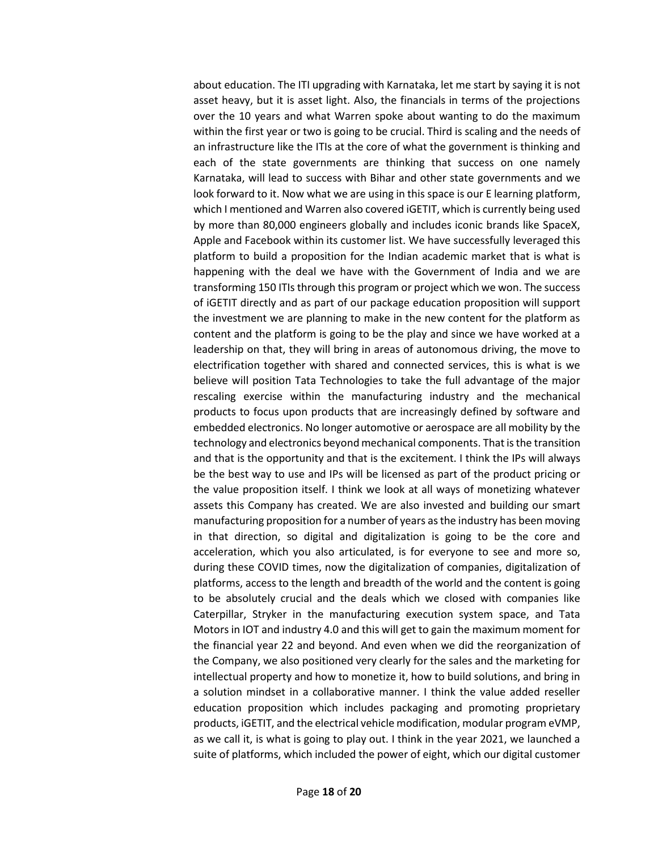about education. The ITI upgrading with Karnataka, let me start by saying it is not asset heavy, but it is asset light. Also, the financials in terms of the projections over the 10 years and what Warren spoke about wanting to do the maximum within the first year or two is going to be crucial. Third is scaling and the needs of an infrastructure like the ITIs at the core of what the government is thinking and each of the state governments are thinking that success on one namely Karnataka, will lead to success with Bihar and other state governments and we look forward to it. Now what we are using in this space is our E learning platform, which I mentioned and Warren also covered iGETIT, which is currently being used by more than 80,000 engineers globally and includes iconic brands like SpaceX, Apple and Facebook within its customer list. We have successfully leveraged this platform to build a proposition for the Indian academic market that is what is happening with the deal we have with the Government of India and we are transforming 150 ITIs through this program or project which we won. The success of iGETIT directly and as part of our package education proposition will support the investment we are planning to make in the new content for the platform as content and the platform is going to be the play and since we have worked at a leadership on that, they will bring in areas of autonomous driving, the move to electrification together with shared and connected services, this is what is we believe will position Tata Technologies to take the full advantage of the major rescaling exercise within the manufacturing industry and the mechanical products to focus upon products that are increasingly defined by software and embedded electronics. No longer automotive or aerospace are all mobility by the technology and electronics beyond mechanical components. That is the transition and that is the opportunity and that is the excitement. I think the IPs will always be the best way to use and IPs will be licensed as part of the product pricing or the value proposition itself. I think we look at all ways of monetizing whatever assets this Company has created. We are also invested and building our smart manufacturing proposition for a number of years as the industry has been moving in that direction, so digital and digitalization is going to be the core and acceleration, which you also articulated, is for everyone to see and more so, during these COVID times, now the digitalization of companies, digitalization of platforms, access to the length and breadth of the world and the content is going to be absolutely crucial and the deals which we closed with companies like Caterpillar, Stryker in the manufacturing execution system space, and Tata Motors in IOT and industry 4.0 and this will get to gain the maximum moment for the financial year 22 and beyond. And even when we did the reorganization of the Company, we also positioned very clearly for the sales and the marketing for intellectual property and how to monetize it, how to build solutions, and bring in a solution mindset in a collaborative manner. I think the value added reseller education proposition which includes packaging and promoting proprietary products, iGETIT, and the electrical vehicle modification, modular program eVMP, as we call it, is what is going to play out. I think in the year 2021, we launched a suite of platforms, which included the power of eight, which our digital customer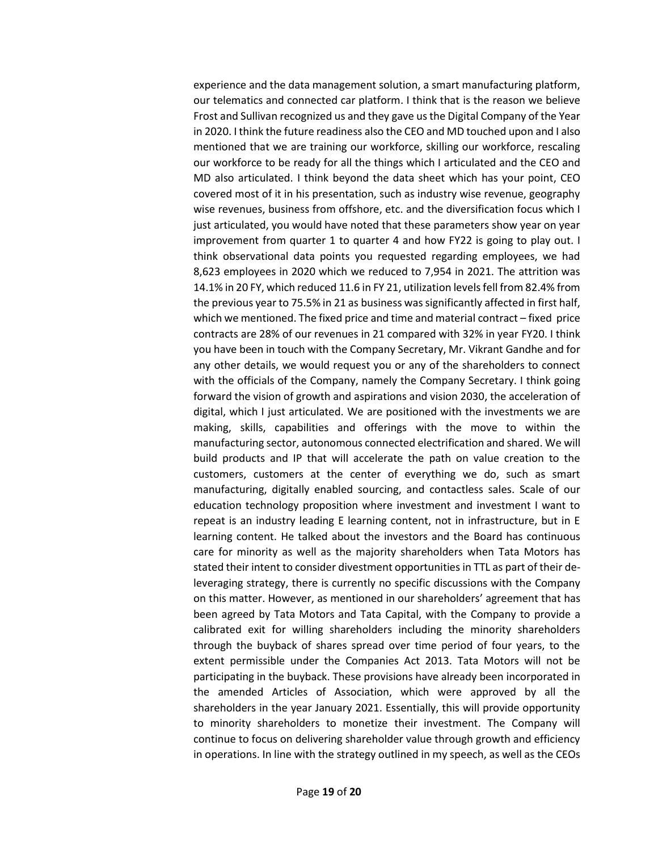experience and the data management solution, a smart manufacturing platform, our telematics and connected car platform. I think that is the reason we believe Frost and Sullivan recognized us and they gave us the Digital Company of the Year in 2020. I think the future readiness also the CEO and MD touched upon and I also mentioned that we are training our workforce, skilling our workforce, rescaling our workforce to be ready for all the things which I articulated and the CEO and MD also articulated. I think beyond the data sheet which has your point, CEO covered most of it in his presentation, such as industry wise revenue, geography wise revenues, business from offshore, etc. and the diversification focus which I just articulated, you would have noted that these parameters show year on year improvement from quarter 1 to quarter 4 and how FY22 is going to play out. I think observational data points you requested regarding employees, we had 8,623 employees in 2020 which we reduced to 7,954 in 2021. The attrition was 14.1% in 20 FY, which reduced 11.6 in FY 21, utilization levels fell from 82.4% from the previous year to 75.5% in 21 as business was significantly affected in first half, which we mentioned. The fixed price and time and material contract – fixed price contracts are 28% of our revenues in 21 compared with 32% in year FY20. I think you have been in touch with the Company Secretary, Mr. Vikrant Gandhe and for any other details, we would request you or any of the shareholders to connect with the officials of the Company, namely the Company Secretary. I think going forward the vision of growth and aspirations and vision 2030, the acceleration of digital, which I just articulated. We are positioned with the investments we are making, skills, capabilities and offerings with the move to within the manufacturing sector, autonomous connected electrification and shared. We will build products and IP that will accelerate the path on value creation to the customers, customers at the center of everything we do, such as smart manufacturing, digitally enabled sourcing, and contactless sales. Scale of our education technology proposition where investment and investment I want to repeat is an industry leading E learning content, not in infrastructure, but in E learning content. He talked about the investors and the Board has continuous care for minority as well as the majority shareholders when Tata Motors has stated their intent to consider divestment opportunities in TTL as part of their deleveraging strategy, there is currently no specific discussions with the Company on this matter. However, as mentioned in our shareholders' agreement that has been agreed by Tata Motors and Tata Capital, with the Company to provide a calibrated exit for willing shareholders including the minority shareholders through the buyback of shares spread over time period of four years, to the extent permissible under the Companies Act 2013. Tata Motors will not be participating in the buyback. These provisions have already been incorporated in the amended Articles of Association, which were approved by all the shareholders in the year January 2021. Essentially, this will provide opportunity to minority shareholders to monetize their investment. The Company will continue to focus on delivering shareholder value through growth and efficiency in operations. In line with the strategy outlined in my speech, as well as the CEOs